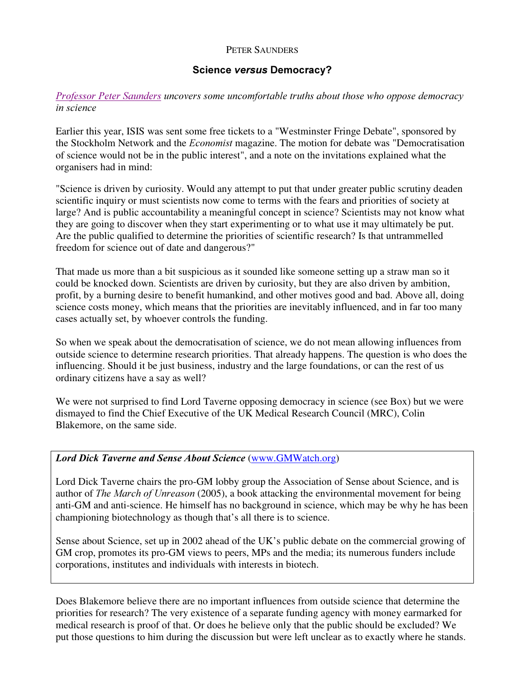## PETER SAUNDERS

## Science versus Democracy?

## Professor Peter Saunders uncovers some uncomfortable truths about those who oppose democracy in science

Earlier this year, ISIS was sent some free tickets to a "Westminster Fringe Debate", sponsored by the Stockholm Network and the *Economist* magazine. The motion for debate was "Democratisation of science would not be in the public interest", and a note on the invitations explained what the organisers had in mind:

"Science is driven by curiosity. Would any attempt to put that under greater public scrutiny deaden scientific inquiry or must scientists now come to terms with the fears and priorities of society at large? And is public accountability a meaningful concept in science? Scientists may not know what they are going to discover when they start experimenting or to what use it may ultimately be put. Are the public qualified to determine the priorities of scientific research? Is that untrammelled freedom for science out of date and dangerous?"

That made us more than a bit suspicious as it sounded like someone setting up a straw man so it could be knocked down. Scientists are driven by curiosity, but they are also driven by ambition, profit, by a burning desire to benefit humankind, and other motives good and bad. Above all, doing science costs money, which means that the priorities are inevitably influenced, and in far too many cases actually set, by whoever controls the funding.

So when we speak about the democratisation of science, we do not mean allowing influences from outside science to determine research priorities. That already happens. The question is who does the influencing. Should it be just business, industry and the large foundations, or can the rest of us ordinary citizens have a say as well?

We were not surprised to find Lord Taverne opposing democracy in science (see Box) but we were dismayed to find the Chief Executive of the UK Medical Research Council (MRC), Colin Blakemore, on the same side.

## Lord Dick Taverne and Sense About Science (www.GMWatch.org)

Lord Dick Taverne chairs the pro-GM lobby group the Association of Sense about Science, and is author of The March of Unreason (2005), a book attacking the environmental movement for being anti-GM and anti-science. He himself has no background in science, which may be why he has been championing biotechnology as though that's all there is to science.

Sense about Science, set up in 2002 ahead of the UK's public debate on the commercial growing of GM crop, promotes its pro-GM views to peers, MPs and the media; its numerous funders include corporations, institutes and individuals with interests in biotech.

Does Blakemore believe there are no important influences from outside science that determine the priorities for research? The very existence of a separate funding agency with money earmarked for medical research is proof of that. Or does he believe only that the public should be excluded? We put those questions to him during the discussion but were left unclear as to exactly where he stands.